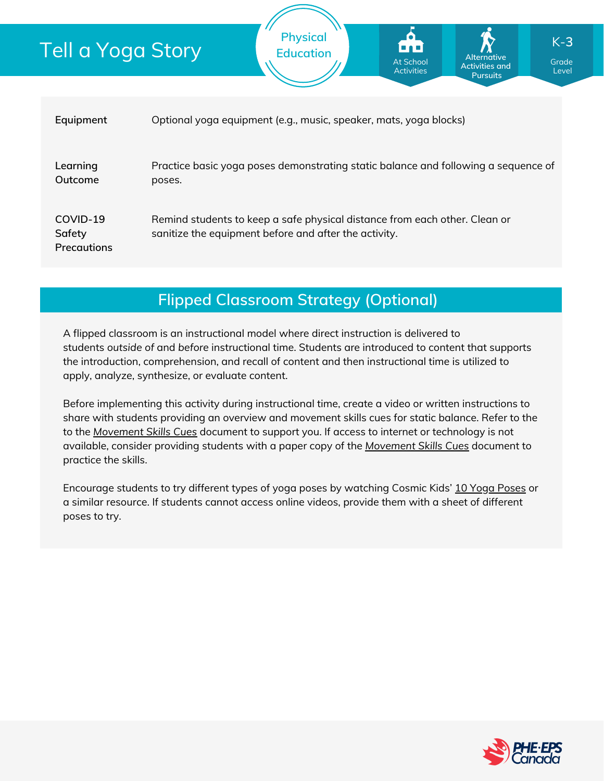| <u>Tell a Yoga Story</u>                 |                                                                                              | <b>Physical</b><br><b>Education</b>                                                                                                 | O<br>ز د و د ا<br><b>At School</b><br><b>Activities</b> | <b>Alternative</b><br><b>Activities and</b><br><b>Pursuits</b> | $K-3$<br>Grade<br>Level |
|------------------------------------------|----------------------------------------------------------------------------------------------|-------------------------------------------------------------------------------------------------------------------------------------|---------------------------------------------------------|----------------------------------------------------------------|-------------------------|
| Equipment                                | Optional yoga equipment (e.g., music, speaker, mats, yoga blocks)                            |                                                                                                                                     |                                                         |                                                                |                         |
| Learning<br>Outcome                      | Practice basic yoga poses demonstrating static balance and following a sequence of<br>poses. |                                                                                                                                     |                                                         |                                                                |                         |
| COVID-19<br>Safety<br><b>Precautions</b> |                                                                                              | Remind students to keep a safe physical distance from each other. Clean or<br>sanitize the equipment before and after the activity. |                                                         |                                                                |                         |

## **Flipped Classroom Strategy (Optional)**

A flipped classroom is an instructional model where direct instruction is delivered to students *outside of* and *before* instructional time. Students are introduced to content that supports the introduction, comprehension, and recall of content and then instructional time is utilized to apply, analyze, synthesize, or evaluate content.

Before implementing this activity during instructional time, create a video or written instructions to share with students providing an overview and movement skills cues for static balance. Refer to the to the *[Movement](https://phecanada.ca/sites/default/files/content/docs/Home%20Learning%20Resource/Movement%20Cues/Movement%20Skills%20Cues%201.pdf) Skills Cues* document to support you. If access to internet or technology is not available, consider providing students with a paper copy of the *[Movement](https://phecanada.ca/sites/default/files/content/docs/Home%20Learning%20Resource/Movement%20Cues/Movement%20Skills%20Cues%201.pdf) Skills Cues* document to practice the skills.

Encourage students to try different types of yoga poses by watching Cosmic Kids' 10 Yoga [Poses](https://www.youtube.com/watch?v=ho9uttOZdOQ) or a similar resource. If students cannot access online videos, provide them with a sheet of different poses to try.

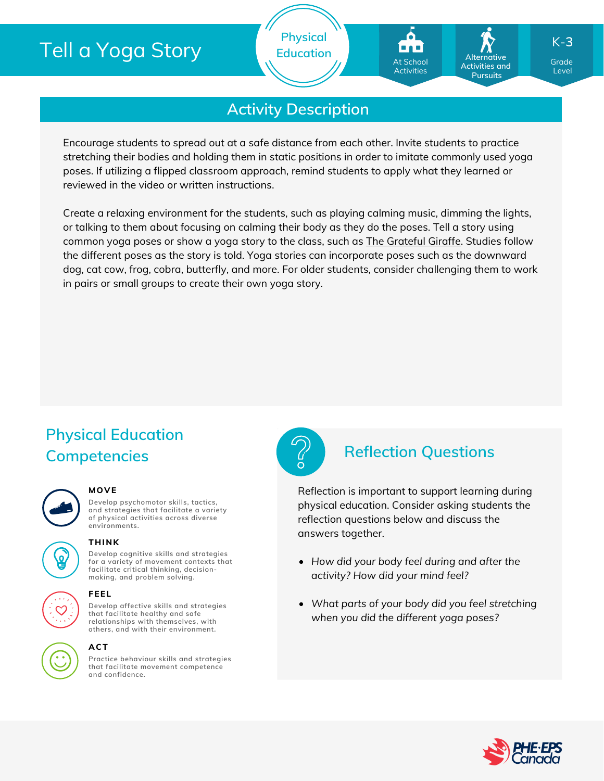# Tell a Yoga Story

**Physical Education**

# **Activity Description**

Encourage students to spread out at a safe distance from each other. Invite students to practice stretching their bodies and holding them in static positions in order to imitate commonly used yoga poses. If utilizing a flipped classroom approach, remind students to apply what they learned or reviewed in the video or written instructions.

Create a relaxing environment for the students, such as playing calming music, dimming the lights, or talking to them about focusing on calming their body as they do the poses. Tell a story using common yoga poses or show a yoga story to the class, such as The [Grateful](https://www.youtube.com/watch?v=-IVL7TmRK0w) Giraffe. Studies follow the different poses as the story is told. Yoga stories can incorporate poses such as the downward dog, cat cow, frog, cobra, butterfly, and more. For older students, consider challenging them to work in pairs or small groups to create their own yoga story.

## **Physical Education Competencies Reflection Questions**

### **MOVE**

**THINK**

**Develop psychomotor skills, tactics, and strategies that facilitate a variety of physical activities across diverse environments.**

**Develop cognitive skills and strategies for a variety of movement contexts that facilitate critical thinking, decision making, and problem solving.**

**Develop affective skills and strategies**

**others, and with their environment.**

## **that facilitate healthy and safe relationships with themselves, with**

### **ACT**

**FEEL**

**Practice behaviour skills and strategies that facilitate movement competence and confidence.**



Reflection is important to support learning during physical education. Consider asking students the reflection questions below and discuss the answers together.

- *How did your body feel during and after the activity? How did your mind feel?*
- *What parts of your body did you feel stretching when you did the different yoga poses?*



Grade Level

**Alternative Activities and Pursuits**

At School **Activities** 

K-**3**